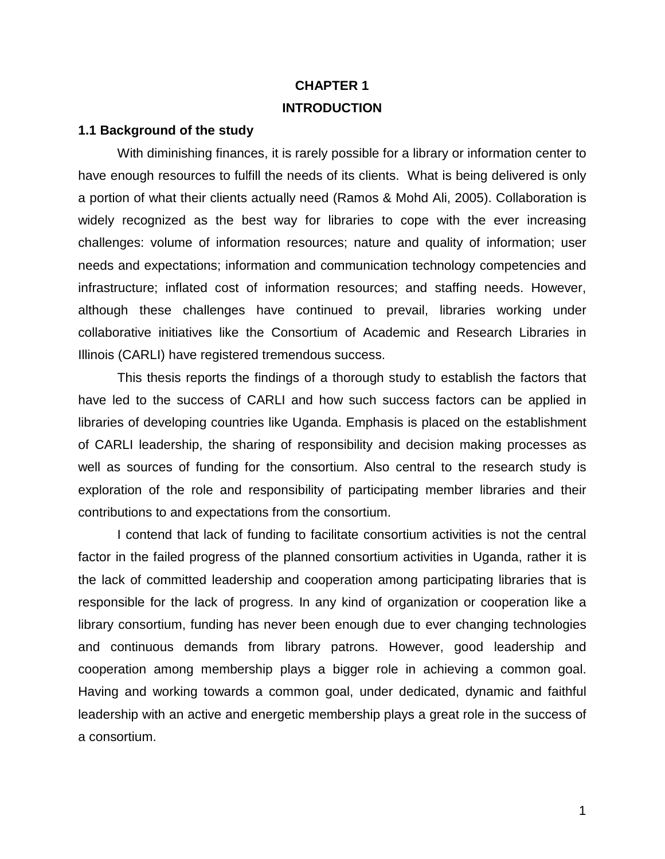# **CHAPTER 1 INTRODUCTION**

### **1.1 Background of the study**

With diminishing finances, it is rarely possible for a library or information center to have enough resources to fulfill the needs of its clients. What is being delivered is only a portion of what their clients actually need (Ramos & Mohd Ali, 2005). Collaboration is widely recognized as the best way for libraries to cope with the ever increasing challenges: volume of information resources; nature and quality of information; user needs and expectations; information and communication technology competencies and infrastructure; inflated cost of information resources; and staffing needs. However, although these challenges have continued to prevail, libraries working under collaborative initiatives like the Consortium of Academic and Research Libraries in Illinois (CARLI) have registered tremendous success.

This thesis reports the findings of a thorough study to establish the factors that have led to the success of CARLI and how such success factors can be applied in libraries of developing countries like Uganda. Emphasis is placed on the establishment of CARLI leadership, the sharing of responsibility and decision making processes as well as sources of funding for the consortium. Also central to the research study is exploration of the role and responsibility of participating member libraries and their contributions to and expectations from the consortium.

I contend that lack of funding to facilitate consortium activities is not the central factor in the failed progress of the planned consortium activities in Uganda, rather it is the lack of committed leadership and cooperation among participating libraries that is responsible for the lack of progress. In any kind of organization or cooperation like a library consortium, funding has never been enough due to ever changing technologies and continuous demands from library patrons. However, good leadership and cooperation among membership plays a bigger role in achieving a common goal. Having and working towards a common goal, under dedicated, dynamic and faithful leadership with an active and energetic membership plays a great role in the success of a consortium.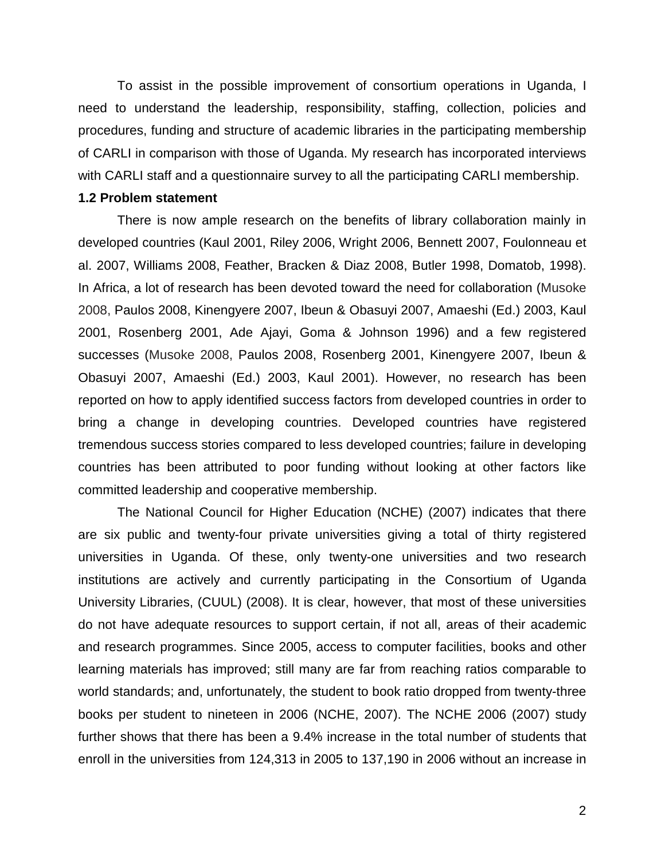To assist in the possible improvement of consortium operations in Uganda, I need to understand the leadership, responsibility, staffing, collection, policies and procedures, funding and structure of academic libraries in the participating membership of CARLI in comparison with those of Uganda. My research has incorporated interviews with CARLI staff and a questionnaire survey to all the participating CARLI membership.

### **1.2 Problem statement**

There is now ample research on the benefits of library collaboration mainly in developed countries (Kaul 2001, Riley 2006, Wright 2006, Bennett 2007, Foulonneau et al. 2007, Williams 2008, Feather, Bracken & Diaz 2008, Butler 1998, Domatob, 1998). In Africa, a lot of research has been devoted toward the need for collaboration (Musoke 2008, Paulos 2008, Kinengyere 2007, Ibeun & Obasuyi 2007, Amaeshi (Ed.) 2003, Kaul 2001, Rosenberg 2001, Ade Ajayi, Goma & Johnson 1996) and a few registered successes (Musoke 2008, Paulos 2008, Rosenberg 2001, Kinengyere 2007, Ibeun & Obasuyi 2007, Amaeshi (Ed.) 2003, Kaul 2001). However, no research has been reported on how to apply identified success factors from developed countries in order to bring a change in developing countries. Developed countries have registered tremendous success stories compared to less developed countries; failure in developing countries has been attributed to poor funding without looking at other factors like committed leadership and cooperative membership.

The National Council for Higher Education (NCHE) (2007) indicates that there are six public and twenty-four private universities giving a total of thirty registered universities in Uganda. Of these, only twenty-one universities and two research institutions are actively and currently participating in the Consortium of Uganda University Libraries, (CUUL) (2008). It is clear, however, that most of these universities do not have adequate resources to support certain, if not all, areas of their academic and research programmes. Since 2005, access to computer facilities, books and other learning materials has improved; still many are far from reaching ratios comparable to world standards; and, unfortunately, the student to book ratio dropped from twenty-three books per student to nineteen in 2006 (NCHE, 2007). The NCHE 2006 (2007) study further shows that there has been a 9.4% increase in the total number of students that enroll in the universities from 124,313 in 2005 to 137,190 in 2006 without an increase in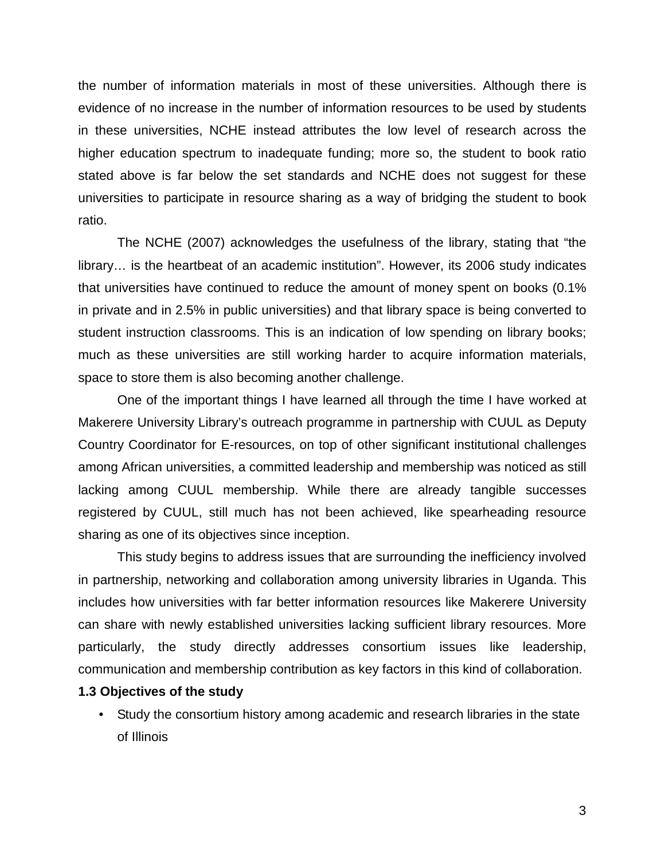the number of information materials in most of these universities. Although there is evidence of no increase in the number of information resources to be used by students in these universities, NCHE instead attributes the low level of research across the higher education spectrum to inadequate funding; more so, the student to book ratio stated above is far below the set standards and NCHE does not suggest for these universities to participate in resource sharing as a way of bridging the student to book ratio.

The NCHE (2007) acknowledges the usefulness of the library, stating that "the library… is the heartbeat of an academic institution". However, its 2006 study indicates that universities have continued to reduce the amount of money spent on books (0.1% in private and in 2.5% in public universities) and that library space is being converted to student instruction classrooms. This is an indication of low spending on library books; much as these universities are still working harder to acquire information materials, space to store them is also becoming another challenge.

One of the important things I have learned all through the time I have worked at Makerere University Library's outreach programme in partnership with CUUL as Deputy Country Coordinator for E-resources, on top of other significant institutional challenges among African universities, a committed leadership and membership was noticed as still lacking among CUUL membership. While there are already tangible successes registered by CUUL, still much has not been achieved, like spearheading resource sharing as one of its objectives since inception.

This study begins to address issues that are surrounding the inefficiency involved in partnership, networking and collaboration among university libraries in Uganda. This includes how universities with far better information resources like Makerere University can share with newly established universities lacking sufficient library resources. More particularly, the study directly addresses consortium issues like leadership, communication and membership contribution as key factors in this kind of collaboration.

### **1.3 Objectives of the study**

• Study the consortium history among academic and research libraries in the state of Illinois